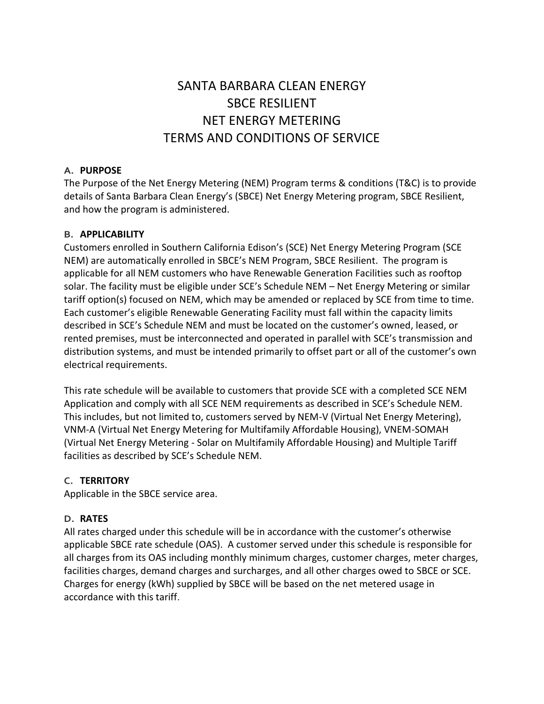# SANTA BARBARA CLEAN ENERGY SBCE RESILIENT NET ENERGY METERING TERMS AND CONDITIONS OF SERVICE

### **A. PURPOSE**

The Purpose of the Net Energy Metering (NEM) Program terms & conditions (T&C) is to provide details of Santa Barbara Clean Energy's (SBCE) Net Energy Metering program, SBCE Resilient, and how the program is administered.

## **B. APPLICABILITY**

Customers enrolled in Southern California Edison's (SCE) Net Energy Metering Program (SCE NEM) are automatically enrolled in SBCE's NEM Program, SBCE Resilient. The program is applicable for all NEM customers who have Renewable Generation Facilities such as rooftop solar. The facility must be eligible under SCE's Schedule NEM – Net Energy Metering or similar tariff option(s) focused on NEM, which may be amended or replaced by SCE from time to time. Each customer's eligible Renewable Generating Facility must fall within the capacity limits described in SCE's Schedule NEM and must be located on the customer's owned, leased, or rented premises, must be interconnected and operated in parallel with SCE's transmission and distribution systems, and must be intended primarily to offset part or all of the customer's own electrical requirements.

This rate schedule will be available to customers that provide SCE with a completed SCE NEM Application and comply with all SCE NEM requirements as described in SCE's Schedule NEM. This includes, but not limited to, customers served by NEM-V (Virtual Net Energy Metering), VNM-A (Virtual Net Energy Metering for Multifamily Affordable Housing), VNEM-SOMAH (Virtual Net Energy Metering - Solar on Multifamily Affordable Housing) and Multiple Tariff facilities as described by SCE's Schedule NEM.

## **C. TERRITORY**

Applicable in the SBCE service area.

## **D. RATES**

All rates charged under this schedule will be in accordance with the customer's otherwise applicable SBCE rate schedule (OAS). A customer served under this schedule is responsible for all charges from its OAS including monthly minimum charges, customer charges, meter charges, facilities charges, demand charges and surcharges, and all other charges owed to SBCE or SCE. Charges for energy (kWh) supplied by SBCE will be based on the net metered usage in accordance with this tariff.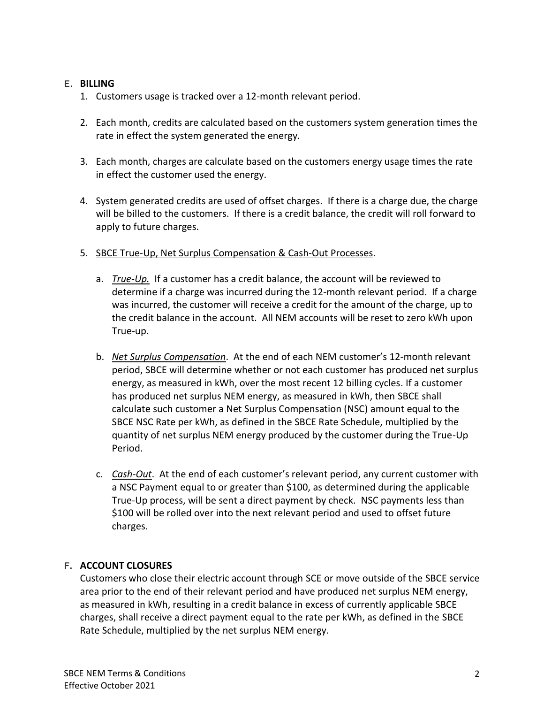#### **E. BILLING**

- 1. Customers usage is tracked over a 12-month relevant period.
- 2. Each month, credits are calculated based on the customers system generation times the rate in effect the system generated the energy.
- 3. Each month, charges are calculate based on the customers energy usage times the rate in effect the customer used the energy.
- 4. System generated credits are used of offset charges. If there is a charge due, the charge will be billed to the customers. If there is a credit balance, the credit will roll forward to apply to future charges.
- 5. SBCE True-Up, Net Surplus Compensation & Cash-Out Processes.
	- a. *True-Up.* If a customer has a credit balance, the account will be reviewed to determine if a charge was incurred during the 12-month relevant period. If a charge was incurred, the customer will receive a credit for the amount of the charge, up to the credit balance in the account. All NEM accounts will be reset to zero kWh upon True-up.
	- b. *Net Surplus Compensation*. At the end of each NEM customer's 12-month relevant period, SBCE will determine whether or not each customer has produced net surplus energy, as measured in kWh, over the most recent 12 billing cycles. If a customer has produced net surplus NEM energy, as measured in kWh, then SBCE shall calculate such customer a Net Surplus Compensation (NSC) amount equal to the SBCE NSC Rate per kWh, as defined in the SBCE Rate Schedule, multiplied by the quantity of net surplus NEM energy produced by the customer during the True-Up Period.
	- c. *Cash-Out*. At the end of each customer's relevant period, any current customer with a NSC Payment equal to or greater than \$100, as determined during the applicable True-Up process, will be sent a direct payment by check. NSC payments less than \$100 will be rolled over into the next relevant period and used to offset future charges.

### **F. ACCOUNT CLOSURES**

Customers who close their electric account through SCE or move outside of the SBCE service area prior to the end of their relevant period and have produced net surplus NEM energy, as measured in kWh, resulting in a credit balance in excess of currently applicable SBCE charges, shall receive a direct payment equal to the rate per kWh, as defined in the SBCE Rate Schedule, multiplied by the net surplus NEM energy.